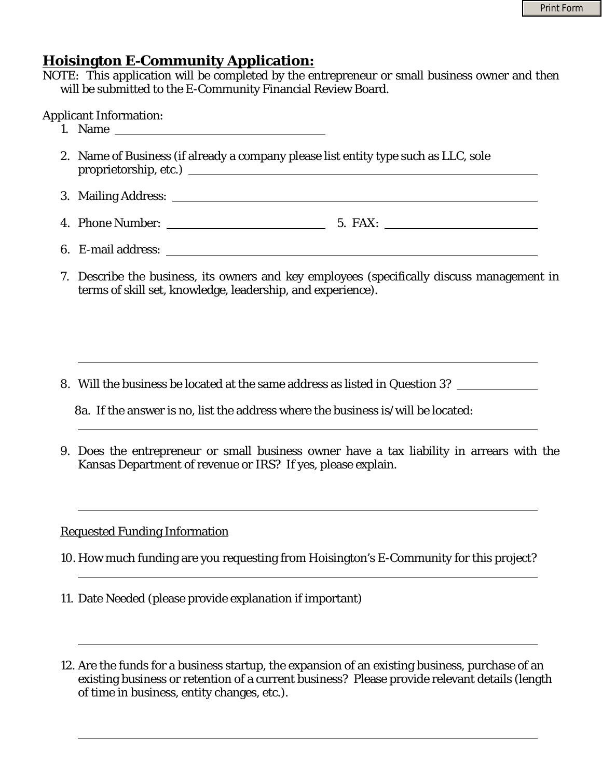# **Hoisington E-Community Application:**

NOTE: This application will be completed by the entrepreneur or small business owner and then will be submitted to the E-Community Financial Review Board.

Applicant Information:

l

l

l

l

l

l

- 1. Name
- 2. Name of Business (if already a company please list entity type such as LLC, sole proprietorship, etc.)
- 3. Mailing Address:
- 4. Phone Number: 5. FAX:
- 6. E-mail address:
- 7. Describe the business, its owners and key employees (specifically discuss management in terms of skill set, knowledge, leadership, and experience).

8. Will the business be located at the same address as listed in Question 3?

9. Does the entrepreneur or small business owner have a tax liability in arrears with the Kansas Department of revenue or IRS? If yes, please explain.

### Requested Funding Information

- 10. How much funding are you requesting from Hoisington's E-Community for this project?
- 11. Date Needed (please provide explanation if important)
- 12. Are the funds for a business startup, the expansion of an existing business, purchase of an existing business or retention of a current business? Please provide relevant details (length of time in business, entity changes, etc.).

 <sup>8</sup>a. If the answer is no, list the address where the business is/will be located: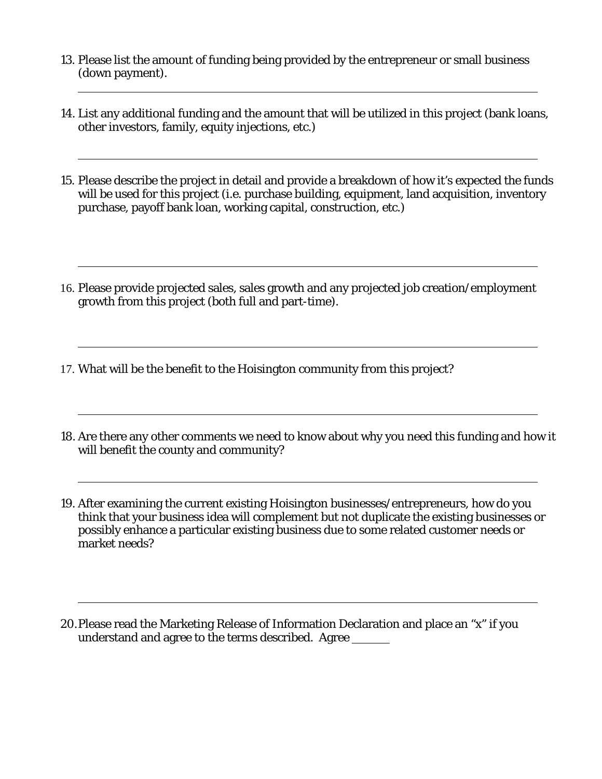- 13. Please list the amount of funding being provided by the entrepreneur or small business (down payment). l
- 14. List any additional funding and the amount that will be utilized in this project (bank loans, other investors, family, equity injections, etc.)
- 15. Please describe the project in detail and provide a breakdown of how it's expected the funds will be used for this project (i.e. purchase building, equipment, land acquisition, inventory purchase, payoff bank loan, working capital, construction, etc.)
- 16. Please provide projected sales, sales growth and any projected job creation/employment growth from this project (both full and part-time).

17. What will be the benefit to the Hoisington community from this project?

l

l

l

l

l

l

- 18. Are there any other comments we need to know about why you need this funding and how it will benefit the county and community?
- 19. After examining the current existing Hoisington businesses/entrepreneurs, how do you think that your business idea will complement but not duplicate the existing businesses or possibly enhance a particular existing business due to some related customer needs or market needs?
- 20.Please read the Marketing Release of Information Declaration and place an "x" if you understand and agree to the terms described. Agree